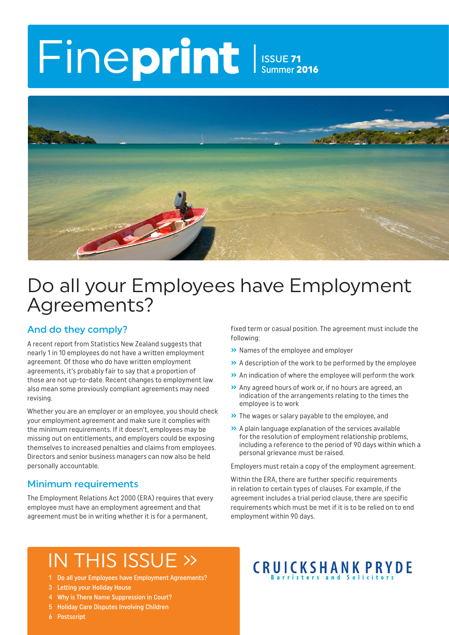# Fineprint Issue 71

Summer 2016



### Do all your Employees have Employment Agreements?

#### And do they comply?

A recent report from Statistics New Zealand suggests that nearly 1 in 10 employees do not have a written employment agreement. Of those who do have written employment agreements, it's probably fair to say that a proportion of those are not up-to-date. Recent changes to employment law also mean some previously compliant agreements may need revising.

Whether you are an employer or an employee, you should check your employment agreement and make sure it complies with the minimum requirements. If it doesn't, employees may be missing out on entitlements, and employers could be exposing themselves to increased penalties and claims from employees. Directors and senior business managers can now also be held personally accountable.

#### Minimum requirements

The Employment Relations Act 2000 (ERA) requires that every employee must have an employment agreement and that agreement must be in writing whether it is for a permanent,

fixed term or casual position. The agreement must include the following:

- **»** Names of the employee and employer
- **»** A description of the work to be performed by the employee
- **»** An indication of where the employee will perform the work
- **»** Any agreed hours of work or, if no hours are agreed, an indication of the arrangements relating to the times the employee is to work
- **»** The wages or salary payable to the employee, and
- **»** A plain language explanation of the services available for the resolution of employment relationship problems, including a reference to the period of 90 days within which a personal grievance must be raised.

Employers must retain a copy of the employment agreement.

Within the ERA, there are further specific requirements in relation to certain types of clauses. For example, if the agreement includes a trial period clause, there are specific requirements which must be met if it is to be relied on to end employment within 90 days.

# IN THIS ISSUE »

- 1 Do all your Employees have Employment Agreements?
- 3 Letting your Holiday House
- 4 Why is There Name Suppression in Court?
- 5 Holiday Care Disputes Involving Children
- 6 Postscript

# **CRUICKSHANK PRYDE**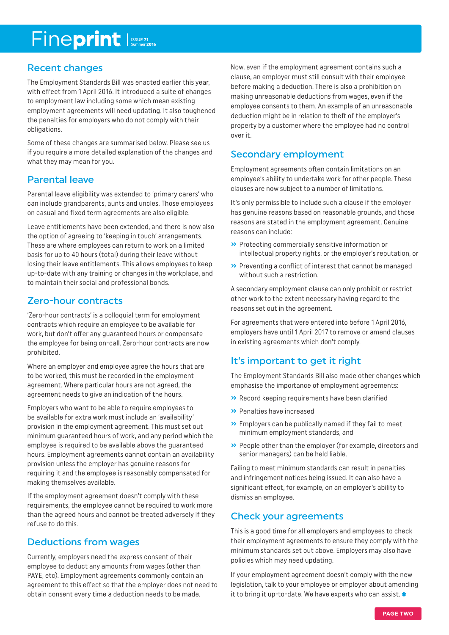# Fineprint

#### Recent changes

The Employment Standards Bill was enacted earlier this year, with effect from 1 April 2016. It introduced a suite of changes to employment law including some which mean existing employment agreements will need updating. It also toughened the penalties for employers who do not comply with their obligations.

Some of these changes are summarised below. Please see us if you require a more detailed explanation of the changes and what they may mean for you.

#### Parental leave

Parental leave eligibility was extended to 'primary carers' who can include grandparents, aunts and uncles. Those employees on casual and fixed term agreements are also eligible.

Leave entitlements have been extended, and there is now also the option of agreeing to 'keeping in touch' arrangements. These are where employees can return to work on a limited basis for up to 40 hours (total) during their leave without losing their leave entitlements. This allows employees to keep up-to-date with any training or changes in the workplace, and to maintain their social and professional bonds.

#### Zero-hour contracts

'Zero-hour contracts' is a colloquial term for employment contracts which require an employee to be available for work, but don't offer any guaranteed hours or compensate the employee for being on-call. Zero-hour contracts are now prohibited.

Where an employer and employee agree the hours that are to be worked, this must be recorded in the employment agreement. Where particular hours are not agreed, the agreement needs to give an indication of the hours.

Employers who want to be able to require employees to be available for extra work must include an 'availability' provision in the employment agreement. This must set out minimum guaranteed hours of work, and any period which the employee is required to be available above the guaranteed hours. Employment agreements cannot contain an availability provision unless the employer has genuine reasons for requiring it and the employee is reasonably compensated for making themselves available.

If the employment agreement doesn't comply with these requirements, the employee cannot be required to work more than the agreed hours and cannot be treated adversely if they refuse to do this.

#### Deductions from wages

Currently, employers need the express consent of their employee to deduct any amounts from wages (other than PAYE, etc). Employment agreements commonly contain an agreement to this effect so that the employer does not need to obtain consent every time a deduction needs to be made.

Now, even if the employment agreement contains such a clause, an employer must still consult with their employee before making a deduction. There is also a prohibition on making unreasonable deductions from wages, even if the employee consents to them. An example of an unreasonable deduction might be in relation to theft of the employer's property by a customer where the employee had no control over it.

#### Secondary employment

Employment agreements often contain limitations on an employee's ability to undertake work for other people. These clauses are now subject to a number of limitations.

It's only permissible to include such a clause if the employer has genuine reasons based on reasonable grounds, and those reasons are stated in the employment agreement. Genuine reasons can include:

- **»** Protecting commercially sensitive information or intellectual property rights, or the employer's reputation, or
- **»** Preventing a conflict of interest that cannot be managed without such a restriction.

A secondary employment clause can only prohibit or restrict other work to the extent necessary having regard to the reasons set out in the agreement.

For agreements that were entered into before 1 April 2016, employers have until 1 April 2017 to remove or amend clauses in existing agreements which don't comply.

#### It's important to get it right

The Employment Standards Bill also made other changes which emphasise the importance of employment agreements:

- **»** Record keeping requirements have been clarified
- **»** Penalties have increased
- **»** Employers can be publically named if they fail to meet minimum employment standards, and
- **»** People other than the employer (for example, directors and senior managers) can be held liable.

Failing to meet minimum standards can result in penalties and infringement notices being issued. It can also have a significant effect, for example, on an employer's ability to dismiss an employee.

#### Check your agreements

This is a good time for all employers and employees to check their employment agreements to ensure they comply with the minimum standards set out above. Employers may also have policies which may need updating.

If your employment agreement doesn't comply with the new legislation, talk to your employee or employer about amending it to bring it up-to-date. We have experts who can assist.  $\ast$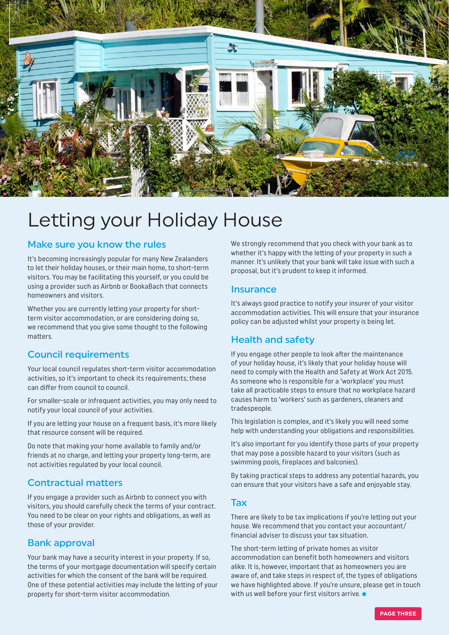

### Letting your Holiday House

#### Make sure you know the rules

It's becoming increasingly popular for many New Zealanders to let their holiday houses, or their main home, to short-term visitors. You may be facilitating this yourself, or you could be using a provider such as Airbnb or BookaBach that connects homeowners and visitors.

Whether you are currently letting your property for shortterm visitor accommodation, or are considering doing so, we recommend that you give some thought to the following matters.

#### Council requirements

Your local council regulates short-term visitor accommodation activities, so it's important to check its requirements; these can differ from council to council.

For smaller-scale or infrequent activities, you may only need to notify your local council of your activities.

If you are letting your house on a frequent basis, it's more likely that resource consent will be required.

Do note that making your home available to family and/or friends at no charge, and letting your property long-term, are not activities regulated by your local council.

#### Contractual matters

If you engage a provider such as Airbnb to connect you with visitors, you should carefully check the terms of your contract. You need to be clear on your rights and obligations, as well as those of your provider.

#### Bank approval

Your bank may have a security interest in your property. If so, the terms of your mortgage documentation will specify certain activities for which the consent of the bank will be required. One of these potential activities may include the letting of your property for short-term visitor accommodation.

We strongly recommend that you check with your bank as to whether it's happy with the letting of your property in such a manner. It's unlikely that your bank will take issue with such a proposal, but it's prudent to keep it informed.

#### **Insurance**

It's always good practice to notify your insurer of your visitor accommodation activities. This will ensure that your insurance policy can be adjusted whilst your property is being let.

#### Health and safety

If you engage other people to look after the maintenance of your holiday house, it's likely that your holiday house will need to comply with the Health and Safety at Work Act 2015. As someone who is responsible for a 'workplace' you must take all practicable steps to ensure that no workplace hazard causes harm to 'workers' such as gardeners, cleaners and tradespeople.

This legislation is complex, and it's likely you will need some help with understanding your obligations and responsibilities.

It's also important for you identify those parts of your property that may pose a possible hazard to your visitors (such as swimming pools, fireplaces and balconies).

By taking practical steps to address any potential hazards, you can ensure that your visitors have a safe and enjoyable stay.

#### Tax

There are likely to be tax implications if you're letting out your house. We recommend that you contact your accountant/ financial adviser to discuss your tax situation.

The short-term letting of private homes as visitor accommodation can benefit both homeowners and visitors alike. It is, however, important that as homeowners you are aware of, and take steps in respect of, the types of obligations we have highlighted above. If you're unsure, please get in touch with us well before your first visitors arrive.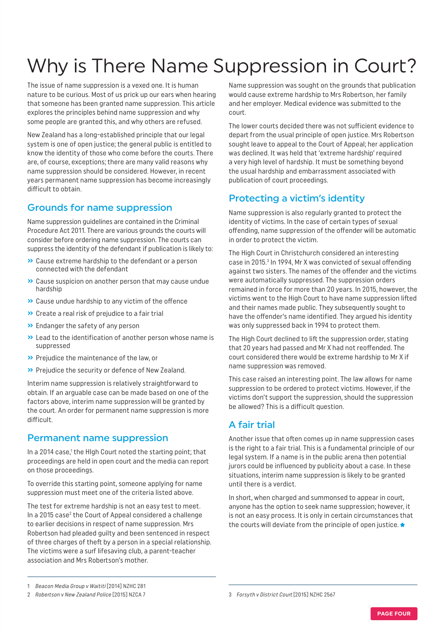# Why is There Name Suppression in Court?

The issue of name suppression is a vexed one. It is human nature to be curious. Most of us prick up our ears when hearing that someone has been granted name suppression. This article explores the principles behind name suppression and why some people are granted this, and why others are refused.

New Zealand has a long-established principle that our legal system is one of open justice; the general public is entitled to know the identity of those who come before the courts. There are, of course, exceptions; there are many valid reasons why name suppression should be considered. However, in recent years permanent name suppression has become increasingly difficult to obtain.

#### Grounds for name suppression

Name suppression guidelines are contained in the Criminal Procedure Act 2011. There are various grounds the courts will consider before ordering name suppression. The courts can suppress the identity of the defendant if publication is likely to:

- **»** Cause extreme hardship to the defendant or a person connected with the defendant
- **»** Cause suspicion on another person that may cause undue hardship
- **»** Cause undue hardship to any victim of the offence
- **»** Create a real risk of prejudice to a fair trial
- **»** Endanger the safety of any person
- **»** Lead to the identification of another person whose name is suppressed
- **»** Prejudice the maintenance of the law, or
- **»** Prejudice the security or defence of New Zealand.

Interim name suppression is relatively straightforward to obtain. If an arguable case can be made based on one of the factors above, interim name suppression will be granted by the court. An order for permanent name suppression is more difficult.

#### Permanent name suppression

In a 2014 case,<sup>1</sup> the HIgh Court noted the starting point; that proceedings are held in open court and the media can report on those proceedings.

To override this starting point, someone applying for name suppression must meet one of the criteria listed above.

The test for extreme hardship is not an easy test to meet. In a 2015 case<sup>2</sup> the Court of Appeal considered a challenge to earlier decisions in respect of name suppression. Mrs Robertson had pleaded guilty and been sentenced in respect of three charges of theft by a person in a special relationship. The victims were a surf lifesaving club, a parent-teacher association and Mrs Robertson's mother.

Name suppression was sought on the grounds that publication would cause extreme hardship to Mrs Robertson, her family and her employer. Medical evidence was submitted to the court.

The lower courts decided there was not sufficient evidence to depart from the usual principle of open justice. Mrs Robertson sought leave to appeal to the Court of Appeal; her application was declined. It was held that 'extreme hardship' required a very high level of hardship. It must be something beyond the usual hardship and embarrassment associated with publication of court proceedings.

#### Protecting a victim's identity

Name suppression is also regularly granted to protect the identity of victims. In the case of certain types of sexual offending, name suppression of the offender will be automatic in order to protect the victim.

The High Court in Christchurch considered an interesting case in 2015.<sup>3</sup> In 1994, Mr X was convicted of sexual offending against two sisters. The names of the offender and the victims were automatically suppressed. The suppression orders remained in force for more than 20 years. In 2015, however, the victims went to the High Court to have name suppression lifted and their names made public. They subsequently sought to have the offender's name identified. They argued his identity was only suppressed back in 1994 to protect them.

The High Court declined to lift the suppression order, stating that 20 years had passed and Mr X had not reoffended. The court considered there would be extreme hardship to Mr X if name suppression was removed.

This case raised an interesting point. The law allows for name suppression to be ordered to protect victims. However, if the victims don't support the suppression, should the suppression be allowed? This is a difficult question.

#### A fair trial

Another issue that often comes up in name suppression cases is the right to a fair trial. This is a fundamental principle of our legal system. If a name is in the public arena then potential jurors could be influenced by publicity about a case. In these situations, interim name suppression is likely to be granted until there is a verdict.

In short, when charged and summonsed to appear in court, anyone has the option to seek name suppression; however, it is not an easy process. It is only in certain circumstances that the courts will deviate from the principle of open justice.

<sup>1</sup> Beacon Media Group v Waititi [2014] NZHC 281

<sup>2</sup> Robertson v New Zealand Police [2015] NZCA 7

<sup>3</sup> Forsyth v District Court [2015] NZHC 2567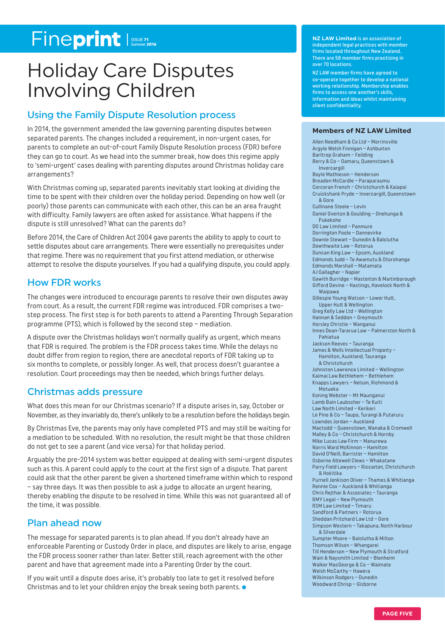# Fineprint

## Holiday Care Disputes Involving Children

#### Using the Family Dispute Resolution process

In 2014, the government amended the law governing parenting disputes between separated parents. The changes included a requirement, in non-urgent cases, for parents to complete an out-of-court Family Dispute Resolution process (FDR) before they can go to court. As we head into the summer break, how does this regime apply to 'semi-urgent' cases dealing with parenting disputes around Christmas holiday care arrangements?

With Christmas coming up, separated parents inevitably start looking at dividing the time to be spent with their children over the holiday period. Depending on how well (or poorly) those parents can communicate with each other, this can be an area fraught with difficulty. Family lawyers are often asked for assistance. What happens if the dispute is still unresolved? What can the parents do?

Before 2014, the Care of Children Act 2004 gave parents the ability to apply to court to settle disputes about care arrangements. There were essentially no prerequisites under that regime. There was no requirement that you first attend mediation, or otherwise attempt to resolve the dispute yourselves. If you had a qualifying dispute, you could apply.

#### How FDR works

The changes were introduced to encourage parents to resolve their own disputes away from court. As a result, the current FDR regime was introduced. FDR comprises a twostep process. The first step is for both parents to attend a Parenting Through Separation programme (PTS), which is followed by the second step – mediation.

A dispute over the Christmas holidays won't normally qualify as urgent, which means that FDR is required. The problem is the FDR process takes time. While the delays no doubt differ from region to region, there are anecdotal reports of FDR taking up to six months to complete, or possibly longer. As well, that process doesn't guarantee a resolution. Court proceedings may then be needed, which brings further delays.

#### Christmas adds pressure

What does this mean for our Christmas scenario? If a dispute arises in, say, October or November, as they invariably do, there's unlikely to be a resolution before the holidays begin.

By Christmas Eve, the parents may only have completed PTS and may still be waiting for a mediation to be scheduled. With no resolution, the result might be that those children do not get to see a parent (and vice versa) for that holiday period.

Arguably the pre-2014 system was better equipped at dealing with semi-urgent disputes such as this. A parent could apply to the court at the first sign of a dispute. That parent could ask that the other parent be given a shortened timeframe within which to respond – say three days. It was then possible to ask a judge to allocate an urgent hearing, thereby enabling the dispute to be resolved in time. While this was not guaranteed all of the time, it was possible.

#### Plan ahead now

The message for separated parents is to plan ahead. If you don't already have an enforceable Parenting or Custody Order in place, and disputes are likely to arise, engage the FDR process sooner rather than later. Better still, reach agreement with the other parent and have that agreement made into a Parenting Order by the court.

If you wait until a dispute does arise, it's probably too late to get it resolved before Christmas and to let your children enjoy the break seeing both parents.

**NZ LAW Limited** is an association of independent legal practices with member firms located throughout New Zealand. There are 58 member firms practising in over 70 locations.

NZ LAW member firms have agreed to co-operate together to develop a national working relationship. Membership enables firms to access one another's skills, information and ideas whilst maintaining client confidentiality.

#### **Members of NZ LAW Limited**

Allen Needham & Co Ltd – Morrinsville Argyle Welsh Finnigan – Ashburton Barltrop Graham – Feilding Berry & Co – Oamaru, Queenstown & Invercargill Boyle Mathieson – Henderson Breaden McCardle – Paraparaumu Corcoran French – Christchurch & Kaiapoi Cruickshank Pryde – Invercargill, Queenstown & Gore Cullinane Steele – Levin Daniel Overton & Goulding – Onehunga & Pukekohe DG Law Limited – Panmure Dorrington Poole – Dannevirke Downie Stewart – Dunedin & Balclutha Dowthwaite Law – Rotorua Duncan King Law – Epsom, Aucklan d Edmonds Judd – Te Awamutu & Otorohanga Edmonds Marshall – Matamata AJ Gallagher – Napier Gawith Burridge – Masterton & Martinborough Gifford Devine – Hastings, Havelock North & Waipawa Gillespie Young Watson – Lower Hutt, Upper Hutt & Wellington Greg Kelly Law Ltd – Wellington Hannan & Seddon – Greymouth Horsley Christie – Wanganui Innes Dean-Tararua Law – Palmerston North & Pahiatua Jackson Reeves – Tauranga James & Wells Intellectual Property – Hamilton, Auckland, Tauranga & Christchurch Johnston Lawrence Limited – Wellington Kaimai Law Bethlehem – Bethlehem Knapps Lawyers – Nelson, Richmond & Motueka Koning Webster – Mt Maunganui Lamb Bain Laubscher – Te Kuiti Law North Limited – Kerikeri Le Pine & Co – Taupo, Turangi & Putaruru Lowndes Jordan – Auckland Mactodd – Queenstown, Wanaka & Cromwell Malley & Co – Christchurch & Hornby Mike Lucas Law Firm – Manurewa Norris Ward McKinnon – Hamilton David O'Neill, Barrister – Hamilton Osborne Attewell Clews – Whakatane Parry Field Lawyers – Riccarton, Christchurch & Hokitika Purnell Jenkison Oliver – Thames & Whitianga Rennie Cox – Auckland & Whitianga Chris Rejthar & Associates – Tauranga RMY Legal – New Plymouth RSM Law Limited – Timaru Sandford & Partners – Rotorua Sheddan Pritchard Law Ltd – Gore Simpson Western – Takapuna, North Harbour & Silverdale Sumpter Moore – Balclutha & Milton Thomson Wilson – Whangarei Till Henderson – New Plymouth & Stratford Wain & Naysmith Limited – Blenheim Walker MacGeorge & Co – Waimate Welsh McCarthy – Hawera Wilkinson Rodgers – Dunedin Woodward Chrisp – Gisborne